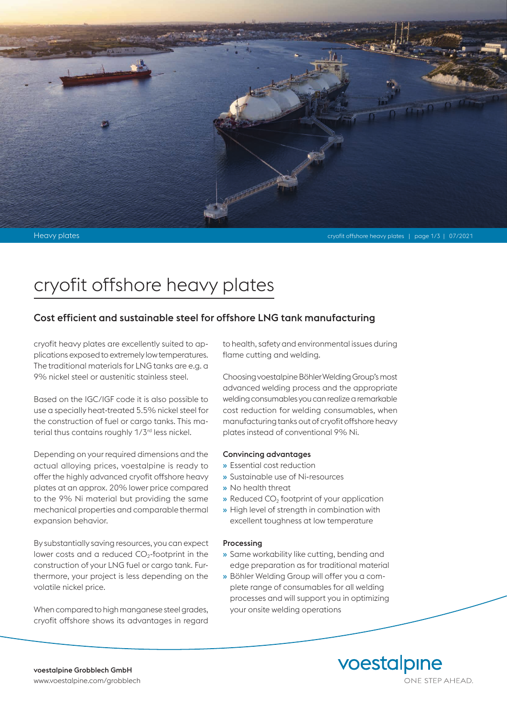

# cryofit offshore heavy plates

# Cost efficient and sustainable steel for offshore LNG tank manufacturing

cryofit heavy plates are excellently suited to applications exposed to extremely low temperatures. The traditional materials for LNG tanks are e.g. a 9% nickel steel or austenitic stainless steel.

Based on the IGC/IGF code it is also possible to use a specially heat-treated 5.5% nickel steel for the construction of fuel or cargo tanks. This material thus contains roughly 1/3<sup>rd</sup> less nickel.

Depending on your required dimensions and the actual alloying prices, voestalpine is ready to offer the highly advanced cryofit offshore heavy plates at an approx. 20% lower price compared to the 9% Ni material but providing the same mechanical properties and comparable thermal expansion behavior.

By substantially saving resources, you can expect lower costs and a reduced  $CO<sub>2</sub>$ -footprint in the construction of your LNG fuel or cargo tank. Furthermore, your project is less depending on the volatile nickel price.

When compared to high manganese steel grades, cryofit offshore shows its advantages in regard to health, safety and environmental issues during flame cutting and welding.

Choosing voestalpine Böhler Welding Group's most advanced welding process and the appropriate welding consumables you can realize a remarkable cost reduction for welding consumables, when manufacturing tanks out of cryofit offshore heavy plates instead of conventional 9% Ni.

#### Convincing advantages

- » Essential cost reduction
- » Sustainable use of Ni-resources
- » No health threat
- $\bullet$  Reduced CO<sub>2</sub> footprint of your application
- » High level of strength in combination with excellent toughness at low temperature

#### Processing

- » Same workability like cutting, bending and edge preparation as for traditional material
- » Böhler Welding Group will offer you a complete range of consumables for all welding processes and will support you in optimizing your onsite welding operations

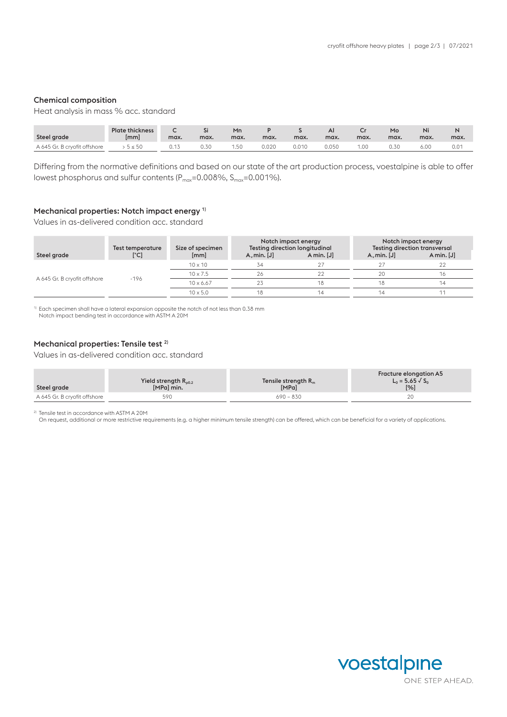#### Chemical composition

Heat analysis in mass % acc. standard

| Steel grade                  | <b>Plate thickness</b><br>mm | max. | $\sim$<br>max. | Mn<br>max. | max.  | max.  | ΑI<br>max. | max. | Mo<br>max. | max. | max.          |
|------------------------------|------------------------------|------|----------------|------------|-------|-------|------------|------|------------|------|---------------|
| A 645 Gr. B cryofit offshore | $\leq 50$                    | 0.13 | 0.30           |            | 0.020 | 0.010 | 0.050      | 1.OC | 0.30       | 6.0C | $0.0^{\circ}$ |

Differing from the normative definitions and based on our state of the art production process, voestalpine is able to offer lowest phosphorus and sulfur contents ( $P_{max}=0.008\%$ ,  $S_{max}=0.001\%$ ).

## Mechanical properties: Notch impact energy<sup>1)</sup>

Values in as-delivered condition acc. standard

|                              | Test temperature | Size of specimen | Notch impact energy<br><b>Testing direction longitudinal</b> |            | Notch impact energy<br><b>Testing direction transversal</b> |              |  |
|------------------------------|------------------|------------------|--------------------------------------------------------------|------------|-------------------------------------------------------------|--------------|--|
| Steel grade                  | [°C]             | [mm]             | $A_{\nu}$ min. [J]                                           | A min. [J] | $A_{\nu}$ min. [J]                                          | A min. $[J]$ |  |
| A 645 Gr. B cryofit offshore | $-196$           | $10 \times 10$   | 34                                                           |            |                                                             | 22           |  |
|                              |                  | $10 \times 7.5$  | 26                                                           | つつ         | 20                                                          | 16           |  |
|                              |                  | $10 \times 6.67$ | 23                                                           | 18         | 18                                                          | 14           |  |
|                              |                  | $10 \times 5.0$  | 18                                                           |            | 14                                                          |              |  |

<sup>1)</sup> Each specimen shall have a lateral expansion opposite the notch of not less than 0.38 mm

Notch impact bending test in accordance with ASTM A 20M

### Mechanical properties: Tensile test<sup>2)</sup>

Values in as-delivered condition acc. standard

| Steel grade                  | Yield strength $R_{\text{o}0.2}$<br>[MPa] min. | Tensile strength $R_m$<br>[MPa] | Fracture elongation A5<br>$L_0 = 5.65 \sqrt{S_0}$<br>[%] |
|------------------------------|------------------------------------------------|---------------------------------|----------------------------------------------------------|
| A 645 Gr. B crvofit offshore | 590                                            | $690 - 830$                     |                                                          |

2) Tensile test in accordance with ASTM A 20M

On request, additional or more restrictive requirements (e.g. a higher minimum tensile strength) can be offered, which can be beneficial for a variety of applications.